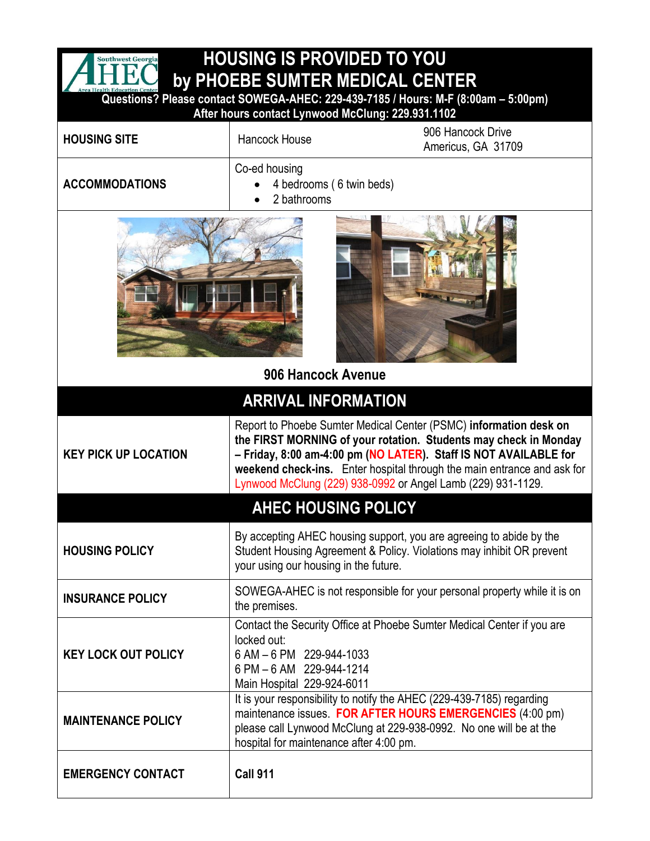| <b>HOUSING IS PROVIDED TO YOU</b><br><b>Southwest Georgia</b>          |                                                                                                   |                                                                                                                                                                                                                                                                                                                                                      |  |  |
|------------------------------------------------------------------------|---------------------------------------------------------------------------------------------------|------------------------------------------------------------------------------------------------------------------------------------------------------------------------------------------------------------------------------------------------------------------------------------------------------------------------------------------------------|--|--|
|                                                                        |                                                                                                   | by PHOEBE SUMTER MEDICAL CENTER<br>Questions? Please contact SOWEGA-AHEC: 229-439-7185 / Hours: M-F (8:00am - 5:00pm)                                                                                                                                                                                                                                |  |  |
| After hours contact Lynwood McClung: 229.931.1102<br>906 Hancock Drive |                                                                                                   |                                                                                                                                                                                                                                                                                                                                                      |  |  |
| <b>HOUSING SITE</b>                                                    | <b>Hancock House</b>                                                                              | Americus, GA 31709                                                                                                                                                                                                                                                                                                                                   |  |  |
| <b>ACCOMMODATIONS</b>                                                  | Co-ed housing<br>4 bedrooms (6 twin beds)<br>2 bathrooms                                          |                                                                                                                                                                                                                                                                                                                                                      |  |  |
|                                                                        |                                                                                                   |                                                                                                                                                                                                                                                                                                                                                      |  |  |
| 906 Hancock Avenue<br><b>ARRIVAL INFORMATION</b>                       |                                                                                                   |                                                                                                                                                                                                                                                                                                                                                      |  |  |
| <b>KEY PICK UP LOCATION</b>                                            |                                                                                                   | Report to Phoebe Sumter Medical Center (PSMC) information desk on<br>the FIRST MORNING of your rotation. Students may check in Monday<br>- Friday, 8:00 am-4:00 pm (NO LATER). Staff IS NOT AVAILABLE for<br>weekend check-ins. Enter hospital through the main entrance and ask for<br>Lynwood McClung (229) 938-0992 or Angel Lamb (229) 931-1129. |  |  |
| <b>AHEC HOUSING POLICY</b>                                             |                                                                                                   |                                                                                                                                                                                                                                                                                                                                                      |  |  |
| <b>HOUSING POLICY</b>                                                  | your using our housing in the future.                                                             | By accepting AHEC housing support, you are agreeing to abide by the<br>Student Housing Agreement & Policy. Violations may inhibit OR prevent                                                                                                                                                                                                         |  |  |
| <b>INSURANCE POLICY</b>                                                | the premises.                                                                                     | SOWEGA-AHEC is not responsible for your personal property while it is on                                                                                                                                                                                                                                                                             |  |  |
| <b>KEY LOCK OUT POLICY</b>                                             | locked out:<br>6 AM - 6 PM 229-944-1033<br>6 PM - 6 AM 229-944-1214<br>Main Hospital 229-924-6011 | Contact the Security Office at Phoebe Sumter Medical Center if you are                                                                                                                                                                                                                                                                               |  |  |
| <b>MAINTENANCE POLICY</b>                                              | hospital for maintenance after 4:00 pm.                                                           | It is your responsibility to notify the AHEC (229-439-7185) regarding<br>maintenance issues. FOR AFTER HOURS EMERGENCIES (4:00 pm)<br>please call Lynwood McClung at 229-938-0992. No one will be at the                                                                                                                                             |  |  |
| <b>EMERGENCY CONTACT</b>                                               | <b>Call 911</b>                                                                                   |                                                                                                                                                                                                                                                                                                                                                      |  |  |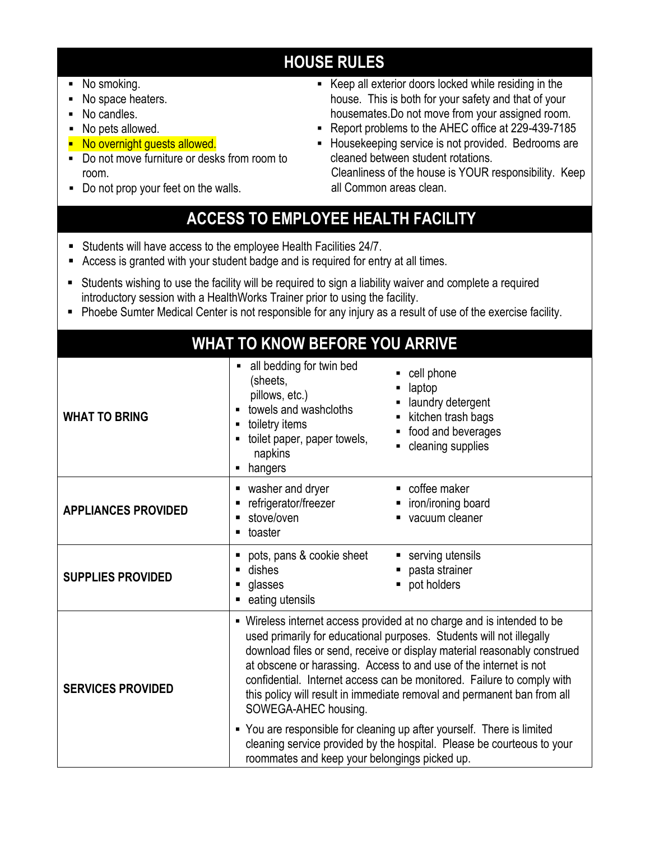## **HOUSE RULES**

- No smoking.
- No space heaters.
- No candles.
- No pets allowed.
- **No overnight guests allowed.**
- Do not move furniture or desks from room to room.
- Do not prop your feet on the walls.
- Keep all exterior doors locked while residing in the house. This is both for your safety and that of your housemates.Do not move from your assigned room.
- **Report problems to the AHEC office at 229-439-7185**
- Housekeeping service is not provided. Bedrooms are cleaned between student rotations. Cleanliness of the house is YOUR responsibility. Keep
	- all Common areas clean.

## **ACCESS TO EMPLOYEE HEALTH FACILITY**

- Students will have access to the employee Health Facilities 24/7.
- Access is granted with your student badge and is required for entry at all times.
- Students wishing to use the facility will be required to sign a liability waiver and complete a required introductory session with a HealthWorks Trainer prior to using the facility.
- Phoebe Sumter Medical Center is not responsible for any injury as a result of use of the exercise facility.

|                            | <b>WHAT TO KNOW BEFORE YOU ARRIVE</b>                                                                                                                                                                                                                                                                                                                                                                                                                                                                                                                                                                                                                                             |                                                                                                            |
|----------------------------|-----------------------------------------------------------------------------------------------------------------------------------------------------------------------------------------------------------------------------------------------------------------------------------------------------------------------------------------------------------------------------------------------------------------------------------------------------------------------------------------------------------------------------------------------------------------------------------------------------------------------------------------------------------------------------------|------------------------------------------------------------------------------------------------------------|
| <b>WHAT TO BRING</b>       | all bedding for twin bed<br>(sheets,<br>pillows, etc.)<br>towels and washcloths<br>toiletry items<br>toilet paper, paper towels,<br>napkins<br>• hangers                                                                                                                                                                                                                                                                                                                                                                                                                                                                                                                          | cell phone<br>laptop<br>laundry detergent<br>kitchen trash bags<br>food and beverages<br>cleaning supplies |
| <b>APPLIANCES PROVIDED</b> | washer and dryer<br>refrigerator/freezer<br>stove/oven<br>toaster<br>٠                                                                                                                                                                                                                                                                                                                                                                                                                                                                                                                                                                                                            | • coffee maker<br>iron/ironing board<br>vacuum cleaner                                                     |
| <b>SUPPLIES PROVIDED</b>   | pots, pans & cookie sheet<br>dishes<br>glasses<br>eating utensils                                                                                                                                                                                                                                                                                                                                                                                                                                                                                                                                                                                                                 | serving utensils<br>pasta strainer<br>pot holders<br>П                                                     |
| <b>SERVICES PROVIDED</b>   | • Wireless internet access provided at no charge and is intended to be<br>used primarily for educational purposes. Students will not illegally<br>download files or send, receive or display material reasonably construed<br>at obscene or harassing. Access to and use of the internet is not<br>confidential. Internet access can be monitored. Failure to comply with<br>this policy will result in immediate removal and permanent ban from all<br>SOWEGA-AHEC housing.<br>• You are responsible for cleaning up after yourself. There is limited<br>cleaning service provided by the hospital. Please be courteous to your<br>roommates and keep your belongings picked up. |                                                                                                            |